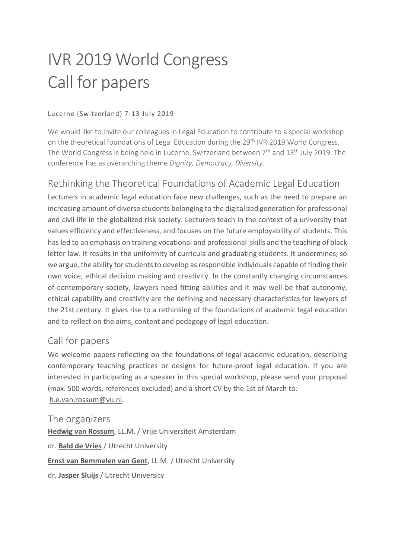# IVR 2019 World Congress Call for papers

### Lucerne (Switzerland) 7-13 July 2019

We would like to invite our colleagues in Legal Education to contribute to a special workshop on the theoretical foundations of Legal Education during the 29<sup>th</sup> [IVR 2019 World Congress.](https://www.ivr2019.org/) The World Congress is being held in Lucerne, Switzerland between  $7<sup>th</sup>$  and  $13<sup>th</sup>$  July 2019. The conference has as overarching theme *Dignity, Democracy, Diversity*.

## Rethinking the Theoretical Foundations of Academic Legal Education

Lecturers in academic legal education face new challenges, such as the need to prepare an increasing amount of diverse students belonging to the digitalized generation for professional and civil life in the globalized risk society. Lecturers teach in the context of a university that values efficiency and effectiveness, and focuses on the future employability of students. This has led to an emphasis on training vocational and professional skills and the teaching of black letter law. It results in the uniformity of curricula and graduating students. It undermines, so we argue, the ability for students to develop as responsible individuals capable of finding their own voice, ethical decision making and creativity. In the constantly changing circumstances of contemporary society, lawyers need fitting abilities and it may well be that autonomy, ethical capability and creativity are the defining and necessary characteristics for lawyers of the 21st century. It gives rise to a rethinking of the foundations of academic legal education and to reflect on the aims, content and pedagogy of legal education.

## Call for papers

We welcome papers reflecting on the foundations of legal academic education, describing contemporary teaching practices or designs for future-proof legal education. If you are interested in participating as a speaker in this special workshop, please send your proposal (max. 500 words, references excluded) and a short CV by the 1st of March to: [h.e.van.rossum@vu.nl.](mailto:h.e.van.rossum@vu.nl)

The organizers **[Hedwig van Rossum](https://research.vu.nl/en/persons/hedwig-van-rossum)**, LL.M. / Vrije Universiteit Amsterdam dr. **[Bald de Vries](https://www.uu.nl/staff/urmtdevries)** / Utrecht University **[Ernst van Bemmelen van Gent](https://www.uu.nl/staff/EEvanBemmelenvanGent)**, LL.M. / Utrecht University dr. **[Jasper Sluijs](https://www.uu.nl/staff/JSluijs)** / Utrecht University